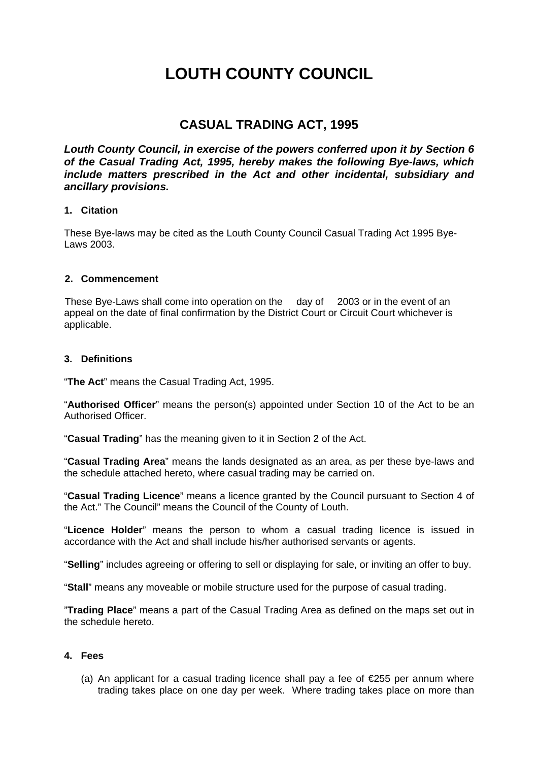# **LOUTH COUNTY COUNCIL**

### **CASUAL TRADING ACT, 1995**

Louth County Council, in exercise of the powers conferred upon it by Section 6 *of the Casual Trading Act, 1995, hereby makes the following Bye-laws, which include matters prescribed in the Act and other incidental, subsidiary and ancillary provisions.* 

#### **1. Citation**

These Bye-laws may be cited as the Louth County Council Casual Trading Act 1995 Bye- $L$ aws  $2003$ 

#### **2. Commencement**

These Bye-Laws shall come into operation on the day of 2003 or in the event of an appeal on the date of final confirmation by the District Court or Circuit Court whichever is applicable.

#### **3. Definitions**

"**The Act**" means the Casual Trading Act, 1995.

"**Authorised Officer**" means the person(s) appointed under Section 10 of the Act to be an Authorised Officer.

"**Casual Trading**" has the meaning given to it in Section 2 of the Act.

"**Casual Trading Area**" means the lands designated as an area, as per these bye-laws and the schedule attached hereto, where casual trading may be carried on.

"**Casual Trading Licence**" means a licence granted by the Council pursuant to Section 4 of the Act." The Council" means the Council of the County of Louth.

"**Licence Holder**" means the person to whom a casual trading licence is issued in accordance with the Act and shall include his/her authorised servants or agents.

"**Selling**" includes agreeing or offering to sell or displaying for sale, or inviting an offer to buy.

"**Stall**" means any moveable or mobile structure used for the purpose of casual trading.

"**Trading Place**" means a part of the Casual Trading Area as defined on the maps set out in the schedule hereto.

#### **4. Fees**

(a) An applicant for a casual trading licence shall pay a fee of  $E$ 55 per annum where trading takes place on one day per week. Where trading takes place on more than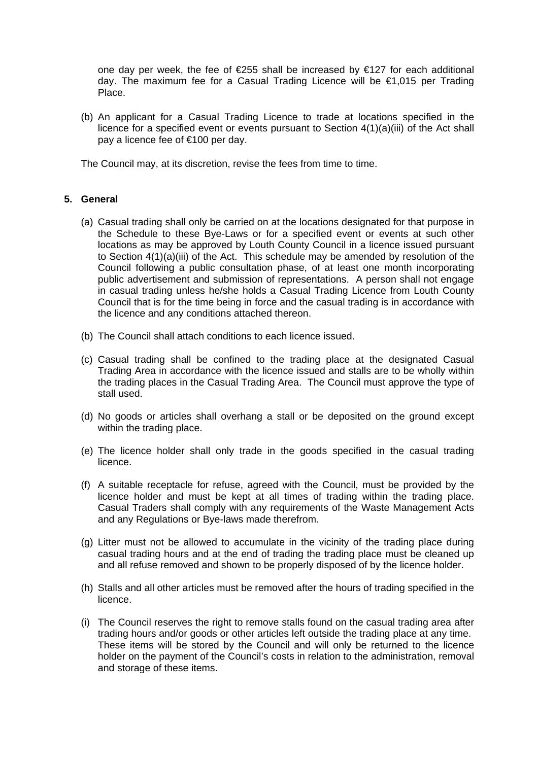one day per week, the fee of  $E$ 255 shall be increased by  $E$ 127 for each additional day. The maximum fee for a Casual Trading Licence will be €1,015 per Trading Place.

(b) An applicant for a Casual Trading Licence to trade at locations specified in the licence for a specified event or events pursuant to Section 4(1)(a)(iii) of the Act shall pay a licence fee of €100 per day.

The Council may, at its discretion, revise the fees from time to time.

#### **5. General**

- (a) Casual trading shall only be carried on at the locations designated for that purpose in the Schedule to these Bye-Laws or for a specified event or events at such other locations as may be approved by Louth County Council in a licence issued pursuant to Section 4(1)(a)(iii) of the Act. This schedule may be amended by resolution of the Council following a public consultation phase, of at least one month incorporating public advertisement and submission of representations. A person shall not engage in casual trading unless he/she holds a Casual Trading Licence from Louth County Council that is for the time being in force and the casual trading is in accordance with the licence and any conditions attached thereon.
- (b) The Council shall attach conditions to each licence issued.
- (c) Casual trading shall be confined to the trading place at the designated Casual Trading Area in accordance with the licence issued and stalls are to be wholly within the trading places in the Casual Trading Area. The Council must approve the type of stall used.
- (d) No goods or articles shall overhang a stall or be deposited on the ground except within the trading place.
- (e) The licence holder shall only trade in the goods specified in the casual trading licence.
- (f) A suitable receptacle for refuse, agreed with the Council, must be provided by the licence holder and must be kept at all times of trading within the trading place. Casual Traders shall comply with any requirements of the Waste Management Acts and any Regulations or Bye-laws made therefrom.
- (g) Litter must not be allowed to accumulate in the vicinity of the trading place during casual trading hours and at the end of trading the trading place must be cleaned up and all refuse removed and shown to be properly disposed of by the licence holder.
- (h) Stalls and all other articles must be removed after the hours of trading specified in the licence.
- (i) The Council reserves the right to remove stalls found on the casual trading area after trading hours and/or goods or other articles left outside the trading place at any time. These items will be stored by the Council and will only be returned to the licence holder on the payment of the Council's costs in relation to the administration, removal and storage of these items.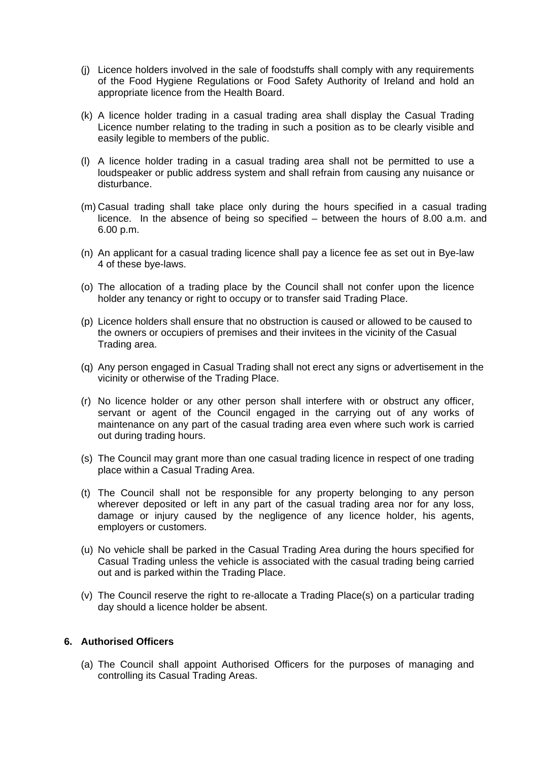- (j) Licence holders involved in the sale of foodstuffs shall comply with any requirements of the Food Hygiene Regulations or Food Safety Authority of Ireland and hold an appropriate licence from the Health Board.
- (k) A licence holder trading in a casual trading area shall display the Casual Trading Licence number relating to the trading in such a position as to be clearly visible and easily legible to members of the public.
- (l) A licence holder trading in a casual trading area shall not be permitted to use a loudspeaker or public address system and shall refrain from causing any nuisance or disturbance.
- (m) Casual trading shall take place only during the hours specified in a casual trading licence. In the absence of being so specified – between the hours of 8.00 a.m. and 6.00 p.m.
- (n) An applicant for a casual trading licence shall pay a licence fee as set out in Bye-law 4 of these bye-laws.
- (o) The allocation of a trading place by the Council shall not confer upon the licence holder any tenancy or right to occupy or to transfer said Trading Place.
- (p) Licence holders shall ensure that no obstruction is caused or allowed to be caused to the owners or occupiers of premises and their invitees in the vicinity of the Casual Trading area.
- (q) Any person engaged in Casual Trading shall not erect any signs or advertisement in the vicinity or otherwise of the Trading Place.
- (r) No licence holder or any other person shall interfere with or obstruct any officer, servant or agent of the Council engaged in the carrying out of any works of maintenance on any part of the casual trading area even where such work is carried out during trading hours.
- (s) The Council may grant more than one casual trading licence in respect of one trading place within a Casual Trading Area.
- (t) The Council shall not be responsible for any property belonging to any person wherever deposited or left in any part of the casual trading area nor for any loss, damage or injury caused by the negligence of any licence holder, his agents, employers or customers.
- (u) No vehicle shall be parked in the Casual Trading Area during the hours specified for Casual Trading unless the vehicle is associated with the casual trading being carried out and is parked within the Trading Place.
- (v) The Council reserve the right to re-allocate a Trading Place(s) on a particular trading day should a licence holder be absent.

#### **6. Authorised Officers**

(a) The Council shall appoint Authorised Officers for the purposes of managing and controlling its Casual Trading Areas.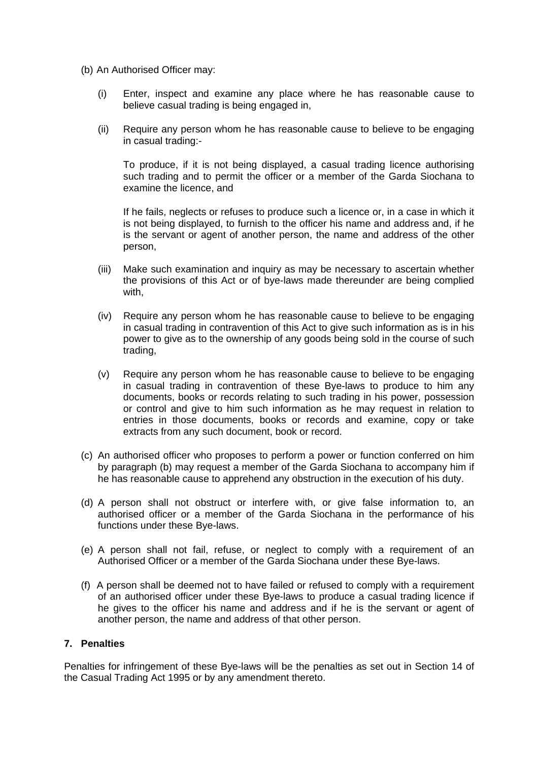- (b) An Authorised Officer may:
	- (i) Enter, inspect and examine any place where he has reasonable cause to believe casual trading is being engaged in,
	- (ii) Require any person whom he has reasonable cause to believe to be engaging in casual trading:-

To produce, if it is not being displayed, a casual trading licence authorising such trading and to permit the officer or a member of the Garda Siochana to examine the licence, and

If he fails, neglects or refuses to produce such a licence or, in a case in which it is not being displayed, to furnish to the officer his name and address and, if he is the servant or agent of another person, the name and address of the other person,

- (iii) Make such examination and inquiry as may be necessary to ascertain whether the provisions of this Act or of bye-laws made thereunder are being complied with,
- (iv) Require any person whom he has reasonable cause to believe to be engaging in casual trading in contravention of this Act to give such information as is in his power to give as to the ownership of any goods being sold in the course of such trading,
- (v) Require any person whom he has reasonable cause to believe to be engaging in casual trading in contravention of these Bye-laws to produce to him any documents, books or records relating to such trading in his power, possession or control and give to him such information as he may request in relation to entries in those documents, books or records and examine, copy or take extracts from any such document, book or record.
- (c) An authorised officer who proposes to perform a power or function conferred on him by paragraph (b) may request a member of the Garda Siochana to accompany him if he has reasonable cause to apprehend any obstruction in the execution of his duty.
- (d) A person shall not obstruct or interfere with, or give false information to, an authorised officer or a member of the Garda Siochana in the performance of his functions under these Bye-laws.
- (e) A person shall not fail, refuse, or neglect to comply with a requirement of an Authorised Officer or a member of the Garda Siochana under these Bye-laws.
- (f) A person shall be deemed not to have failed or refused to comply with a requirement of an authorised officer under these Bye-laws to produce a casual trading licence if he gives to the officer his name and address and if he is the servant or agent of another person, the name and address of that other person.

#### **7. Penalties**

Penalties for infringement of these Bye-laws will be the penalties as set out in Section 14 of the Casual Trading Act 1995 or by any amendment thereto.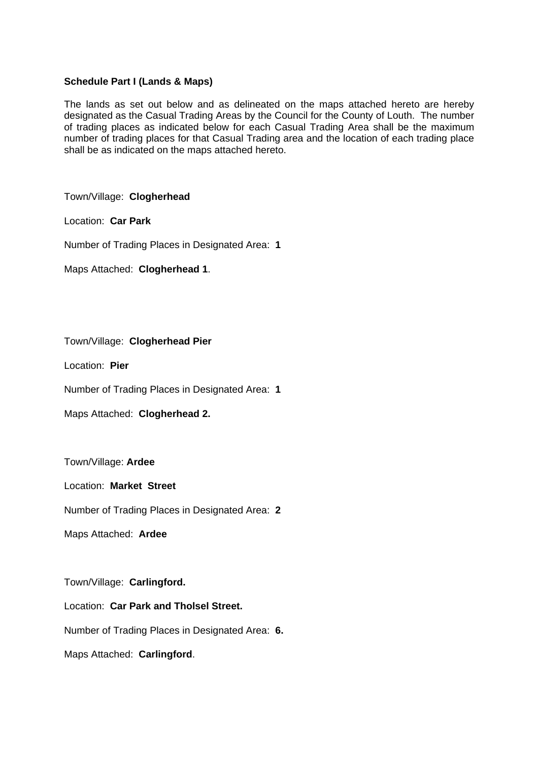#### **Schedule Part I (Lands & Maps)**

The lands as set out below and as delineated on the maps attached hereto are hereby designated as the Casual Trading Areas by the Council for the County of Louth. The number of trading places as indicated below for each Casual Trading Area shall be the maximum number of trading places for that Casual Trading area and the location of each trading place shall be as indicated on the maps attached hereto.

Town/Village: **Clogherhead** 

Location: **Car Park** 

Number of Trading Places in Designated Area: **1** 

Maps Attached: **Clogherhead 1**.

Town/Village: **Clogherhead Pier** 

Location: **Pier** 

Number of Trading Places in Designated Area: **1** 

Maps Attached: **Clogherhead 2.** 

Town/Village: **Ardee** 

Location: **Market Street** 

Number of Trading Places in Designated Area: **2** 

Maps Attached: **Ardee** 

Town/Village: **Carlingford.** 

Location: **Car Park and Tholsel Street.** 

Number of Trading Places in Designated Area: **6.** 

Maps Attached: **Carlingford**.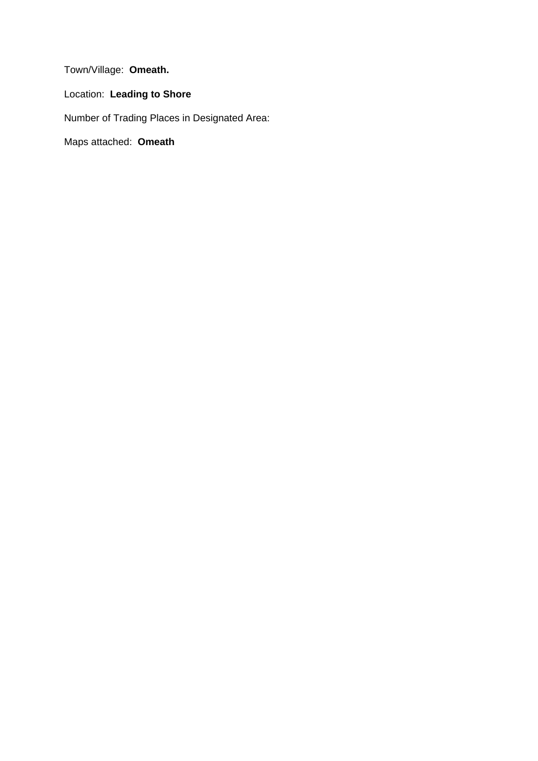Town/Village: **Omeath.**

Location: **Leading to Shore** 

Number of Trading Places in Designated Area:

Maps attached: **Omeath**